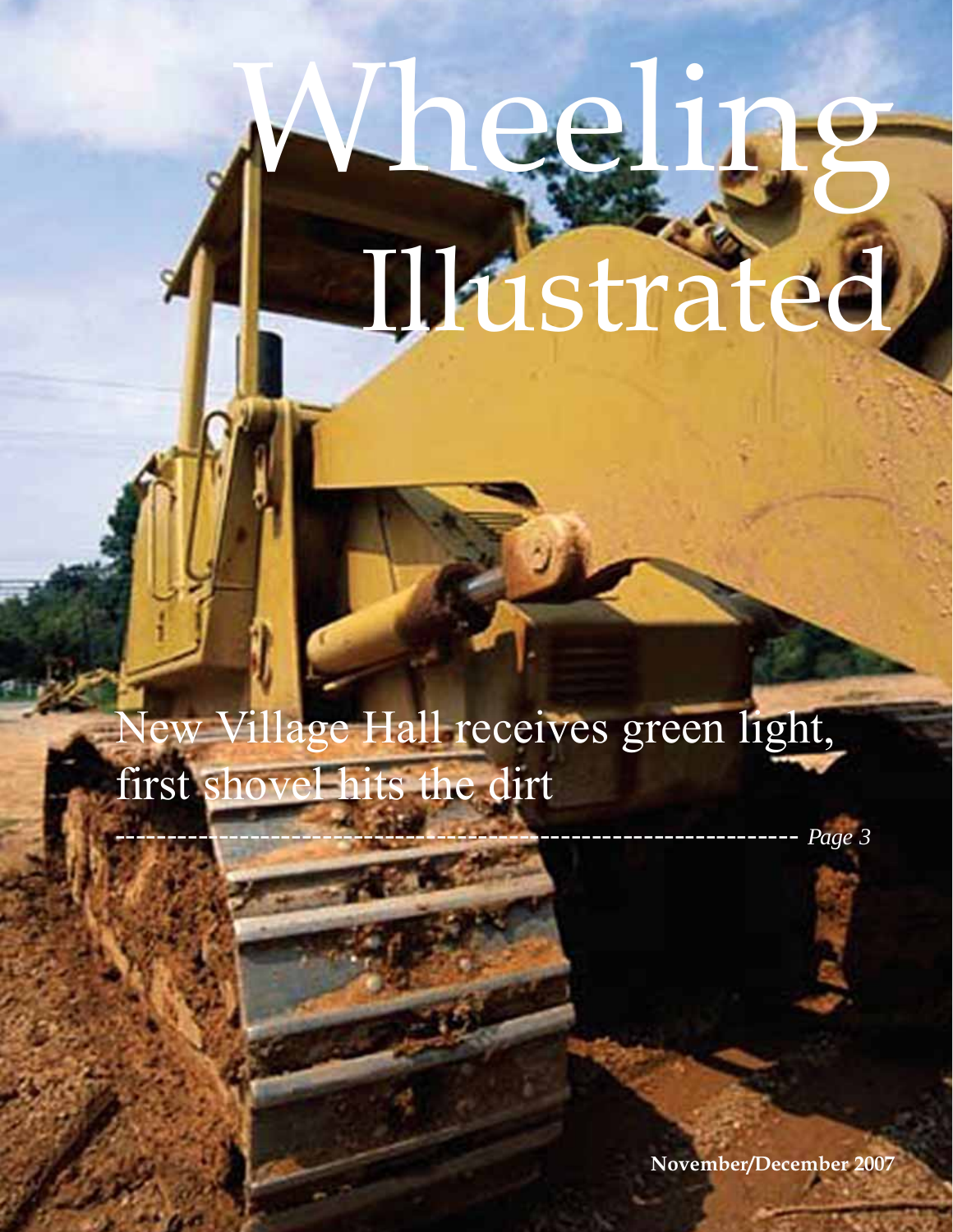# Wheeling Illustrated

## New Village Hall receives green light, first shovel hits the dirt

------------------------------------------------------------------ *Page 3*

**November/December 2007**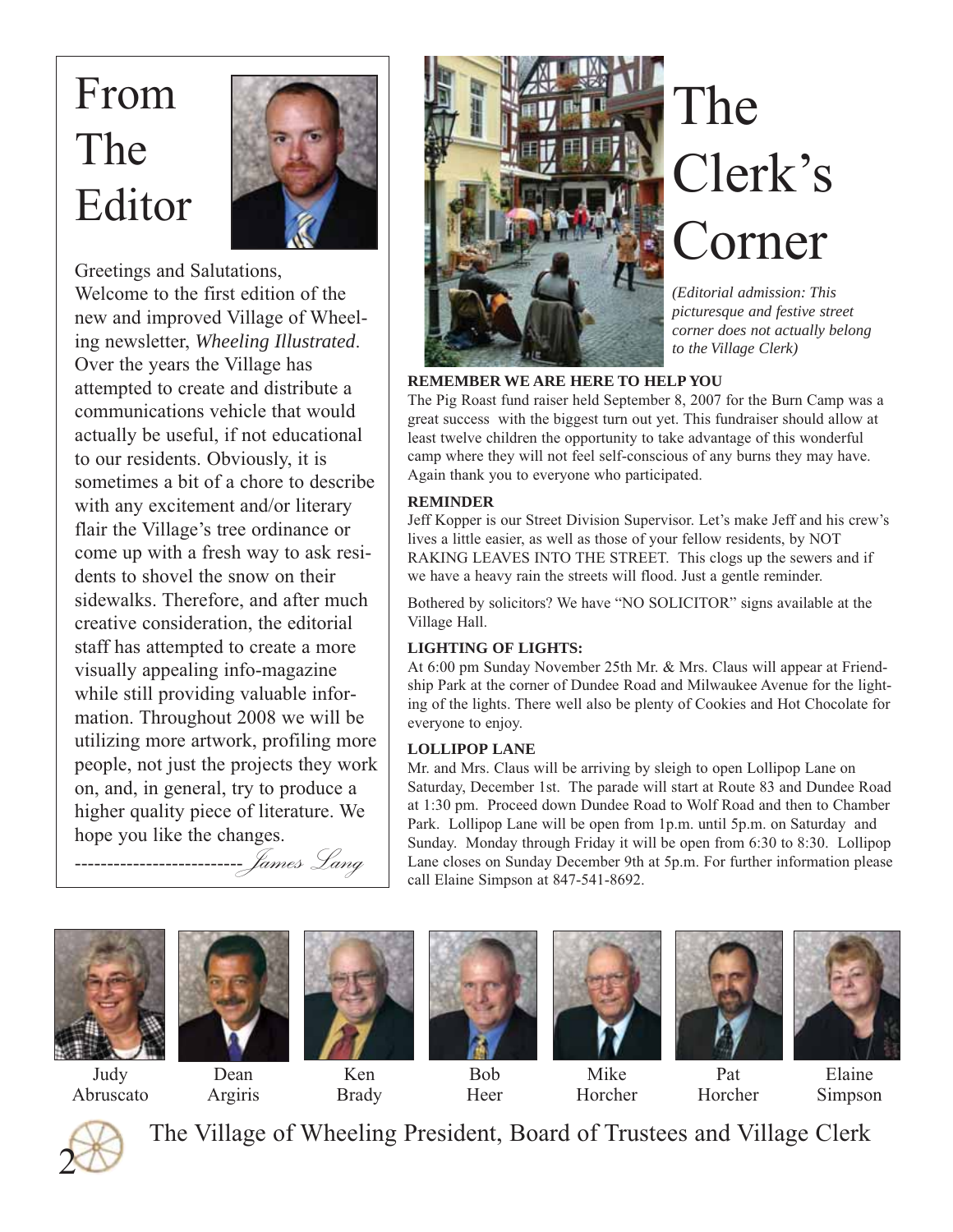## From The Editor



Greetings and Salutations, Welcome to the first edition of the new and improved Village of Wheeling newsletter, *Wheeling Illustrated*. Over the years the Village has attempted to create and distribute a communications vehicle that would actually be useful, if not educational to our residents. Obviously, it is sometimes a bit of a chore to describe with any excitement and/or literary flair the Village's tree ordinance or come up with a fresh way to ask residents to shovel the snow on their sidewalks. Therefore, and after much creative consideration, the editorial staff has attempted to create a more visually appealing info-magazine while still providing valuable information. Throughout 2008 we will be utilizing more artwork, profiling more people, not just the projects they work on, and, in general, try to produce a higher quality piece of literature. We hope you like the changes.

--------------------------James Lang



## The Clerk's Corner

*(Editorial admission: This picturesque and festive street corner does not actually belong to the Village Clerk)*

#### **REMEMBER WE ARE HERE TO HELP YOU**

The Pig Roast fund raiser held September 8, 2007 for the Burn Camp was a great success with the biggest turn out yet. This fundraiser should allow at least twelve children the opportunity to take advantage of this wonderful camp where they will not feel self-conscious of any burns they may have. Again thank you to everyone who participated.

#### **REMINDER**

Jeff Kopper is our Street Division Supervisor. Let's make Jeff and his crew's lives a little easier, as well as those of your fellow residents, by NOT RAKING LEAVES INTO THE STREET. This clogs up the sewers and if we have a heavy rain the streets will flood. Just a gentle reminder.

Bothered by solicitors? We have "NO SOLICITOR" signs available at the Village Hall.

#### **LIGHTING OF LIGHTS:**

At 6:00 pm Sunday November 25th Mr. & Mrs. Claus will appear at Friendship Park at the corner of Dundee Road and Milwaukee Avenue for the lighting of the lights. There well also be plenty of Cookies and Hot Chocolate for everyone to enjoy.

#### **LOLLIPOP LANE**

Mr. and Mrs. Claus will be arriving by sleigh to open Lollipop Lane on Saturday, December 1st. The parade will start at Route 83 and Dundee Road at 1:30 pm. Proceed down Dundee Road to Wolf Road and then to Chamber Park. Lollipop Lane will be open from 1p.m. until 5p.m. on Saturday and Sunday. Monday through Friday it will be open from 6:30 to 8:30. Lollipop Lane closes on Sunday December 9th at 5p.m. For further information please call Elaine Simpson at 847-541-8692.







Ken Brady



Bob Heer





Horcher



Judy Abruscato

Dean Argiris

Mike Horcher

Elaine Simpson



The Village of Wheeling President, Board of Trustees and Village Clerk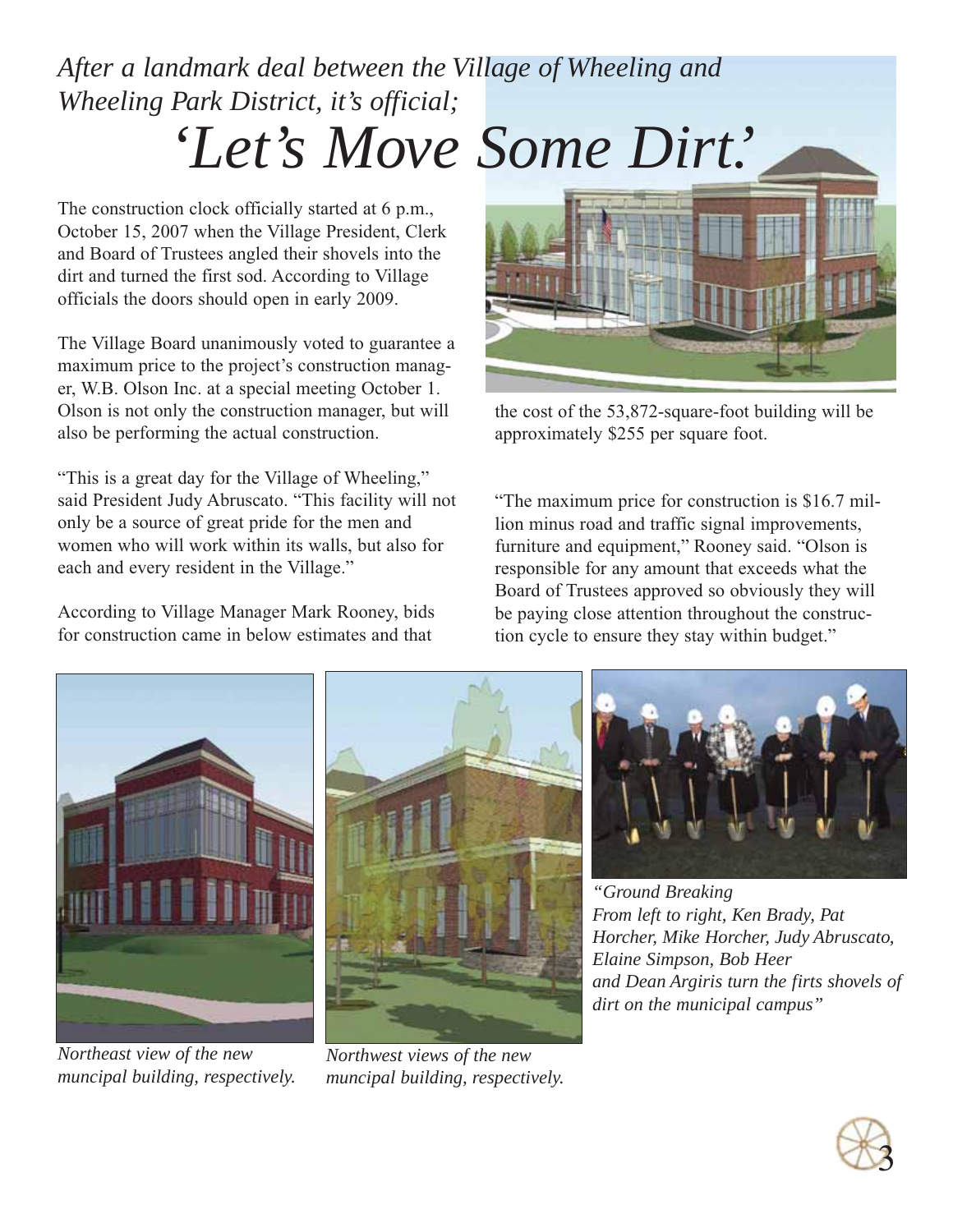## *After a landmark deal between the Village of Wheeling and Wheeling Park District, it's official; 'Let's Move Some Dirt.'*

The construction clock officially started at 6 p.m., October 15, 2007 when the Village President, Clerk and Board of Trustees angled their shovels into the dirt and turned the first sod. According to Village officials the doors should open in early 2009.

The Village Board unanimously voted to guarantee a maximum price to the project's construction manager, W.B. Olson Inc. at a special meeting October 1. Olson is not only the construction manager, but will also be performing the actual construction.

"This is a great day for the Village of Wheeling," said President Judy Abruscato. "This facility will not only be a source of great pride for the men and women who will work within its walls, but also for each and every resident in the Village."

According to Village Manager Mark Rooney, bids for construction came in below estimates and that



the cost of the 53,872-square-foot building will be approximately \$255 per square foot.

"The maximum price for construction is \$16.7 million minus road and traffic signal improvements, furniture and equipment," Rooney said. "Olson is responsible for any amount that exceeds what the Board of Trustees approved so obviously they will be paying close attention throughout the construction cycle to ensure they stay within budget."



*Northeast view of the new muncipal building, respectively.*



*Northwest views of the new muncipal building, respectively.*



*"Ground Breaking From left to right, Ken Brady, Pat Horcher, Mike Horcher, Judy Abruscato, Elaine Simpson, Bob Heer and Dean Argiris turn the firts shovels of dirt on the municipal campus"*

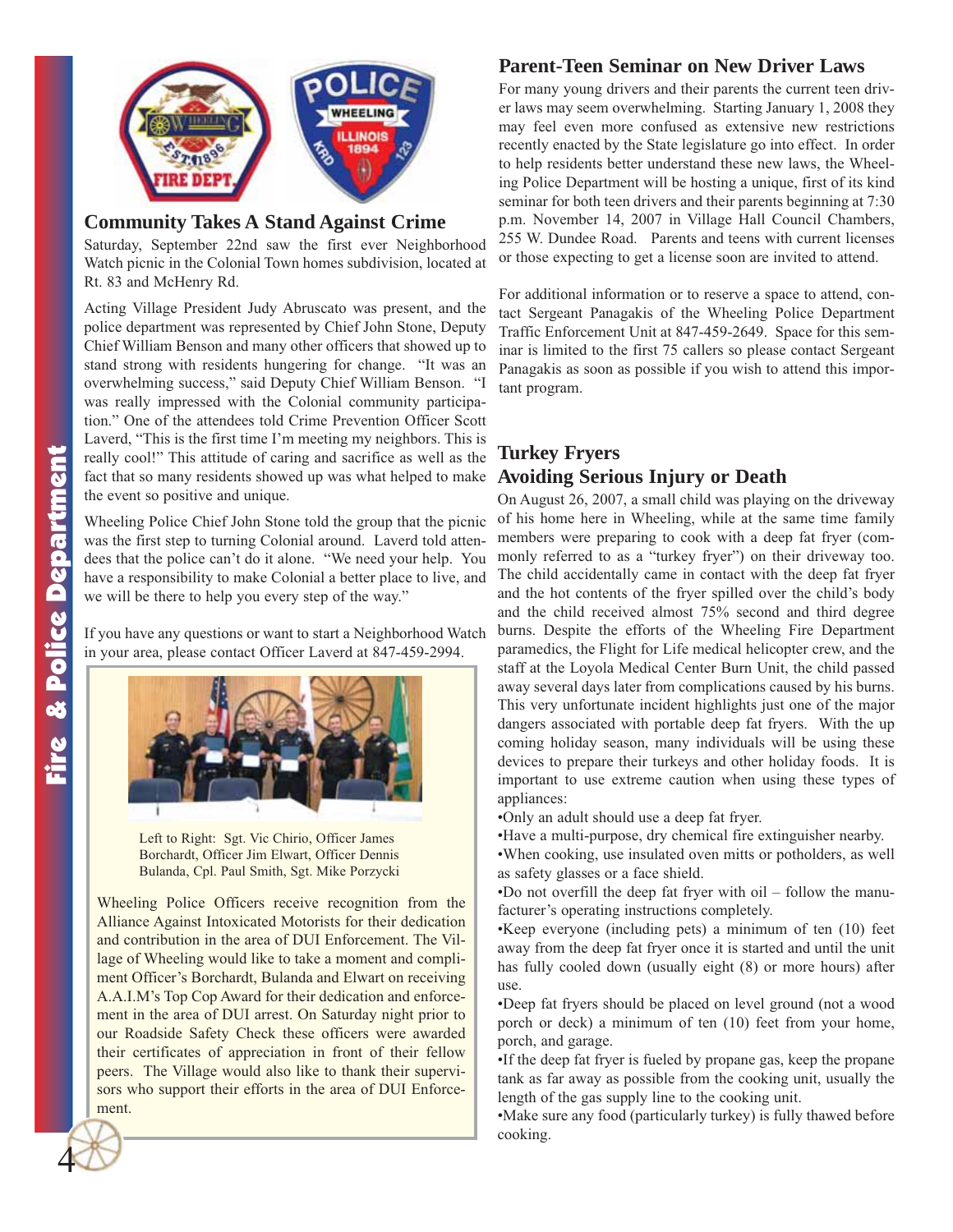

#### **Community Takes A Stand Against Crime**

Saturday, September 22nd saw the first ever Neighborhood Watch picnic in the Colonial Town homes subdivision, located at Rt. 83 and McHenry Rd.

Acting Village President Judy Abruscato was present, and the police department was represented by Chief John Stone, Deputy Chief William Benson and many other officers that showed up to stand strong with residents hungering for change. "It was an overwhelming success," said Deputy Chief William Benson. "I was really impressed with the Colonial community participation." One of the attendees told Crime Prevention Officer Scott Laverd, "This is the first time I'm meeting my neighbors. This is really cool!" This attitude of caring and sacrifice as well as the fact that so many residents showed up was what helped to make the event so positive and unique.

Wheeling Police Chief John Stone told the group that the picnic was the first step to turning Colonial around. Laverd told attendees that the police can't do it alone. "We need your help. You have a responsibility to make Colonial a better place to live, and we will be there to help you every step of the way."

If you have any questions or want to start a Neighborhood Watch in your area, please contact Officer Laverd at 847-459-2994.



Left to Right: Sgt. Vic Chirio, Officer James Borchardt, Officer Jim Elwart, Officer Dennis Bulanda, Cpl. Paul Smith, Sgt. Mike Porzycki

Wheeling Police Officers receive recognition from the Alliance Against Intoxicated Motorists for their dedication and contribution in the area of DUI Enforcement. The Village of Wheeling would like to take a moment and compliment Officer's Borchardt, Bulanda and Elwart on receiving A.A.I.M's Top Cop Award for their dedication and enforcement in the area of DUI arrest. On Saturday night prior to our Roadside Safety Check these officers were awarded their certificates of appreciation in front of their fellow peers. The Village would also like to thank their supervisors who support their efforts in the area of DUI Enforcement.

#### **Parent-Teen Seminar on New Driver Laws**

For many young drivers and their parents the current teen driver laws may seem overwhelming. Starting January 1, 2008 they may feel even more confused as extensive new restrictions recently enacted by the State legislature go into effect. In order to help residents better understand these new laws, the Wheeling Police Department will be hosting a unique, first of its kind seminar for both teen drivers and their parents beginning at 7:30 p.m. November 14, 2007 in Village Hall Council Chambers, 255 W. Dundee Road. Parents and teens with current licenses or those expecting to get a license soon are invited to attend.

For additional information or to reserve a space to attend, contact Sergeant Panagakis of the Wheeling Police Department Traffic Enforcement Unit at 847-459-2649. Space for this seminar is limited to the first 75 callers so please contact Sergeant Panagakis as soon as possible if you wish to attend this important program.

#### **Turkey Fryers Avoiding Serious Injury or Death**

On August 26, 2007, a small child was playing on the driveway of his home here in Wheeling, while at the same time family members were preparing to cook with a deep fat fryer (commonly referred to as a "turkey fryer") on their driveway too. The child accidentally came in contact with the deep fat fryer and the hot contents of the fryer spilled over the child's body and the child received almost 75% second and third degree burns. Despite the efforts of the Wheeling Fire Department paramedics, the Flight for Life medical helicopter crew, and the staff at the Loyola Medical Center Burn Unit, the child passed away several days later from complications caused by his burns. This very unfortunate incident highlights just one of the major dangers associated with portable deep fat fryers. With the up coming holiday season, many individuals will be using these devices to prepare their turkeys and other holiday foods. It is important to use extreme caution when using these types of appliances:

•Only an adult should use a deep fat fryer.

•Have a multi-purpose, dry chemical fire extinguisher nearby. •When cooking, use insulated oven mitts or potholders, as well

as safety glasses or a face shield.

•Do not overfill the deep fat fryer with oil – follow the manufacturer's operating instructions completely.

•Keep everyone (including pets) a minimum of ten (10) feet away from the deep fat fryer once it is started and until the unit has fully cooled down (usually eight (8) or more hours) after use.

•Deep fat fryers should be placed on level ground (not a wood porch or deck) a minimum of ten (10) feet from your home, porch, and garage.

•If the deep fat fryer is fueled by propane gas, keep the propane tank as far away as possible from the cooking unit, usually the length of the gas supply line to the cooking unit.

•Make sure any food (particularly turkey) is fully thawed before cooking.

4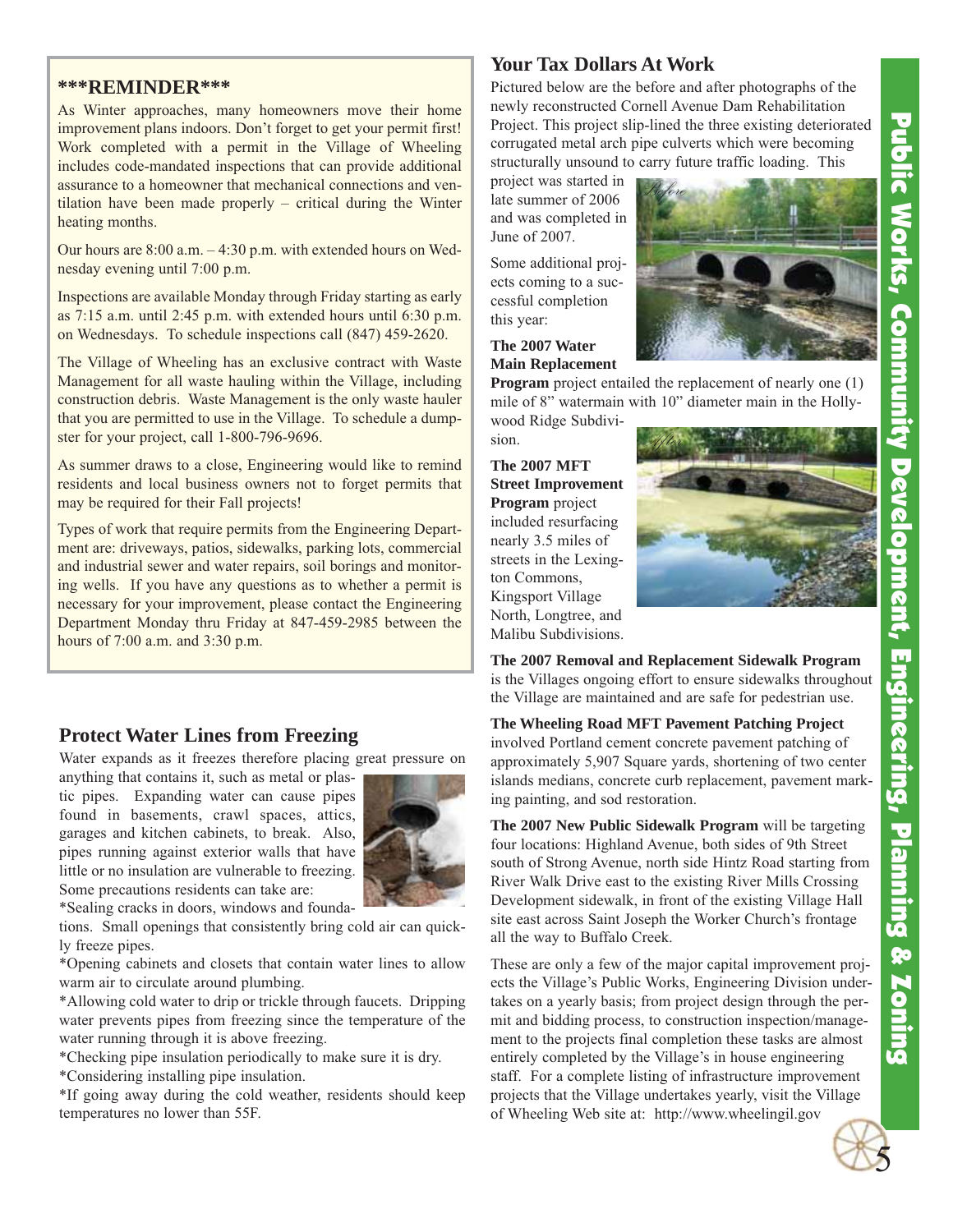#### **\*\*\*REMINDER\*\*\***

As Winter approaches, many homeowners move their home improvement plans indoors. Don't forget to get your permit first! Work completed with a permit in the Village of Wheeling includes code-mandated inspections that can provide additional assurance to a homeowner that mechanical connections and ventilation have been made properly – critical during the Winter heating months.

Our hours are 8:00 a.m. – 4:30 p.m. with extended hours on Wednesday evening until 7:00 p.m.

Inspections are available Monday through Friday starting as early as 7:15 a.m. until 2:45 p.m. with extended hours until 6:30 p.m. on Wednesdays. To schedule inspections call (847) 459-2620.

The Village of Wheeling has an exclusive contract with Waste Management for all waste hauling within the Village, including construction debris. Waste Management is the only waste hauler that you are permitted to use in the Village. To schedule a dumpster for your project, call 1-800-796-9696.

As summer draws to a close, Engineering would like to remind residents and local business owners not to forget permits that may be required for their Fall projects!

Types of work that require permits from the Engineering Department are: driveways, patios, sidewalks, parking lots, commercial and industrial sewer and water repairs, soil borings and monitoring wells. If you have any questions as to whether a permit is necessary for your improvement, please contact the Engineering Department Monday thru Friday at 847-459-2985 between the hours of 7:00 a.m. and 3:30 p.m.

#### **Protect Water Lines from Freezing**

Water expands as it freezes therefore placing great pressure on

anything that contains it, such as metal or plastic pipes. Expanding water can cause pipes found in basements, crawl spaces, attics, garages and kitchen cabinets, to break. Also, pipes running against exterior walls that have little or no insulation are vulnerable to freezing. Some precautions residents can take are:



\*Sealing cracks in doors, windows and founda-

tions. Small openings that consistently bring cold air can quickly freeze pipes.

\*Opening cabinets and closets that contain water lines to allow warm air to circulate around plumbing.

\*Allowing cold water to drip or trickle through faucets. Dripping water prevents pipes from freezing since the temperature of the water running through it is above freezing.

\*Checking pipe insulation periodically to make sure it is dry.

\*Considering installing pipe insulation.

\*If going away during the cold weather, residents should keep temperatures no lower than 55F.

#### **Your Tax Dollars At Work**

Pictured below are the before and after photographs of the newly reconstructed Cornell Avenue Dam Rehabilitation Project. This project slip-lined the three existing deteriorated corrugated metal arch pipe culverts which were becoming structurally unsound to carry future traffic loading. This

Before

project was started in late summer of 2006 and was completed in June of 2007.

Some additional projects coming to a successful completion this year:

**The 2007 Water Main Replacement**

**Program** project entailed the replacement of nearly one (1) mile of 8" watermain with 10" diameter main in the Holly-

wood Ridge Subdivision.

**The 2007 MFT Street Improvement Program** project included resurfacing nearly 3.5 miles of streets in the Lexington Commons, Kingsport Village North, Longtree, and Malibu Subdivisions.





**The 2007 Removal and Replacement Sidewalk Program** is the Villages ongoing effort to ensure sidewalks throughout the Village are maintained and are safe for pedestrian use.

**The Wheeling Road MFT Pavement Patching Project** involved Portland cement concrete pavement patching of approximately 5,907 Square yards, shortening of two center islands medians, concrete curb replacement, pavement marking painting, and sod restoration.

**The 2007 New Public Sidewalk Program** will be targeting four locations: Highland Avenue, both sides of 9th Street south of Strong Avenue, north side Hintz Road starting from River Walk Drive east to the existing River Mills Crossing Development sidewalk, in front of the existing Village Hall site east across Saint Joseph the Worker Church's frontage all the way to Buffalo Creek.

These are only a few of the major capital improvement projects the Village's Public Works, Engineering Division undertakes on a yearly basis; from project design through the permit and bidding process, to construction inspection/management to the projects final completion these tasks are almost entirely completed by the Village's in house engineering staff. For a complete listing of infrastructure improvement projects that the Village undertakes yearly, visit the Village of Wheeling Web site at: http://www.wheelingil.gov

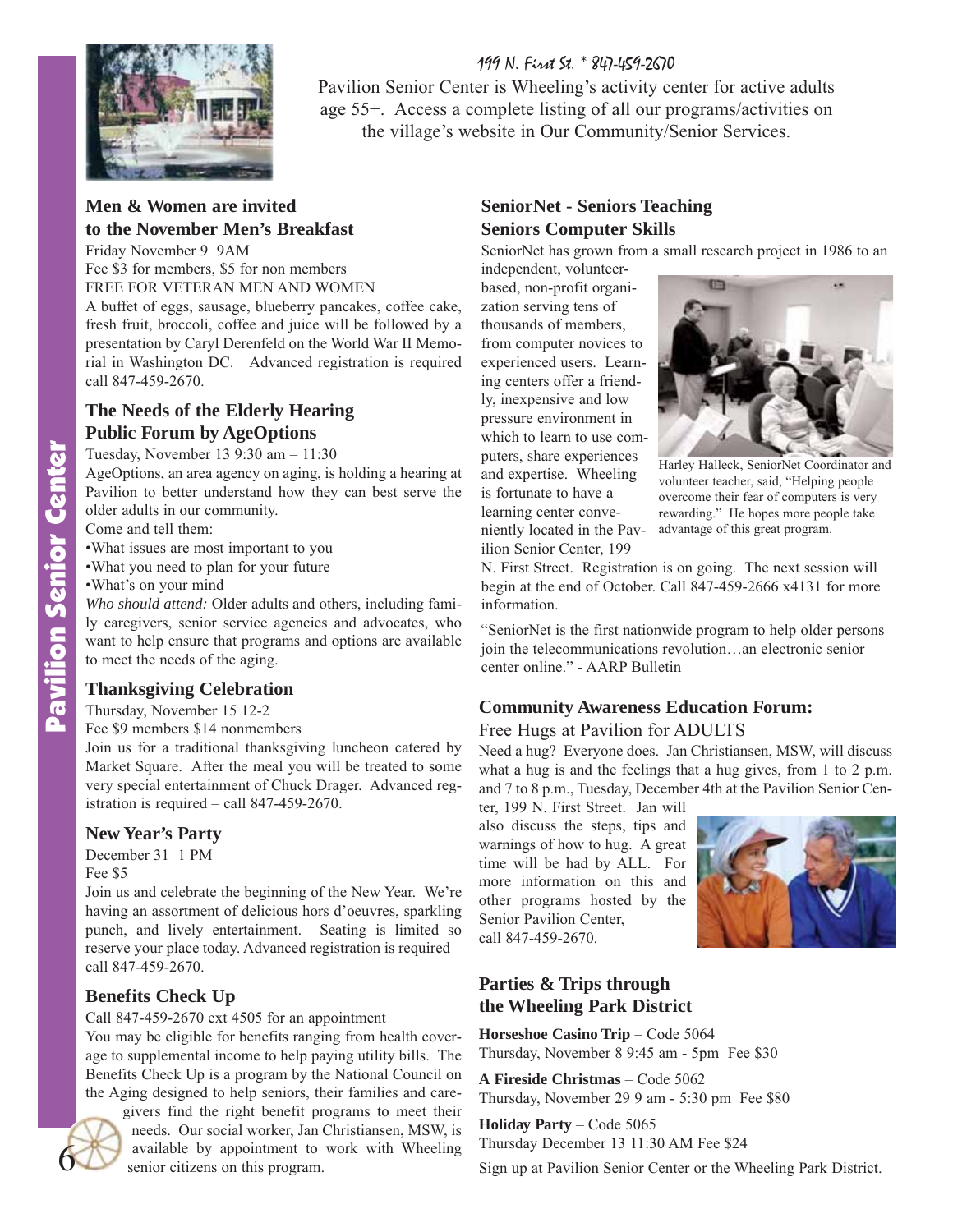199 N. First St. \* 847-459-2670



Pavilion Senior Center is Wheeling's activity center for active adults age 55+. Access a complete listing of all our programs/activities on the village's website in Our Community/Senior Services.

#### **Men & Women are invited to the November Men's Breakfast**

Friday November 9 9AM

Fee \$3 for members, \$5 for non members FREE FOR VETERAN MEN AND WOMEN

A buffet of eggs, sausage, blueberry pancakes, coffee cake, fresh fruit, broccoli, coffee and juice will be followed by a presentation by Caryl Derenfeld on the World War II Memorial in Washington DC. Advanced registration is required call 847-459-2670.

#### **The Needs of the Elderly Hearing Public Forum by AgeOptions**

Tuesday, November 13 9:30 am – 11:30

AgeOptions, an area agency on aging, is holding a hearing at Pavilion to better understand how they can best serve the older adults in our community.

Come and tell them:

•What issues are most important to you

•What you need to plan for your future

•What's on your mind

*Who should attend:* Older adults and others, including family caregivers, senior service agencies and advocates, who want to help ensure that programs and options are available to meet the needs of the aging.

#### **Thanksgiving Celebration**

Thursday, November 15 12-2

Fee \$9 members \$14 nonmembers

Join us for a traditional thanksgiving luncheon catered by Market Square. After the meal you will be treated to some very special entertainment of Chuck Drager. Advanced registration is required – call 847-459-2670.

#### **New Year's Party**

December 31 1 PM Fee \$5

Join us and celebrate the beginning of the New Year. We're having an assortment of delicious hors d'oeuvres, sparkling punch, and lively entertainment. Seating is limited so reserve your place today. Advanced registration is required – call 847-459-2670.

#### **Benefits Check Up**

Call 847-459-2670 ext 4505 for an appointment

You may be eligible for benefits ranging from health coverage to supplemental income to help paying utility bills. The Benefits Check Up is a program by the National Council on the Aging designed to help seniors, their families and care-



givers find the right benefit programs to meet their needs. Our social worker, Jan Christiansen, MSW, is available by appointment to work with Wheeling senior citizens on this program.

#### **SeniorNet - Seniors Teaching Seniors Computer Skills**

SeniorNet has grown from a small research project in 1986 to an

independent, volunteerbased, non-profit organization serving tens of thousands of members, from computer novices to experienced users. Learning centers offer a friendly, inexpensive and low pressure environment in which to learn to use computers, share experiences and expertise. Wheeling is fortunate to have a learning center conveniently located in the Pavilion Senior Center, 199



Harley Halleck, SeniorNet Coordinator and volunteer teacher, said, "Helping people overcome their fear of computers is very rewarding." He hopes more people take advantage of this great program.

N. First Street. Registration is on going. The next session will begin at the end of October. Call 847-459-2666 x4131 for more information.

"SeniorNet is the first nationwide program to help older persons join the telecommunications revolution…an electronic senior center online." - AARP Bulletin

#### **Community Awareness Education Forum:**

#### Free Hugs at Pavilion for ADULTS

Need a hug? Everyone does. Jan Christiansen, MSW, will discuss what a hug is and the feelings that a hug gives, from 1 to 2 p.m. and 7 to 8 p.m., Tuesday, December 4th at the Pavilion Senior Cen-

ter, 199 N. First Street. Jan will also discuss the steps, tips and warnings of how to hug. A great time will be had by ALL. For more information on this and other programs hosted by the Senior Pavilion Center, call 847-459-2670.

#### **Parties & Trips through the Wheeling Park District**

**Horseshoe Casino Trip** – Code 5064 Thursday, November 8 9:45 am - 5pm Fee \$30

**A Fireside Christmas** – Code 5062 Thursday, November 29 9 am - 5:30 pm Fee \$80

**Holiday Party** – Code 5065 Thursday December 13 11:30 AM Fee \$24

Sign up at Pavilion Senior Center or the Wheeling Park District.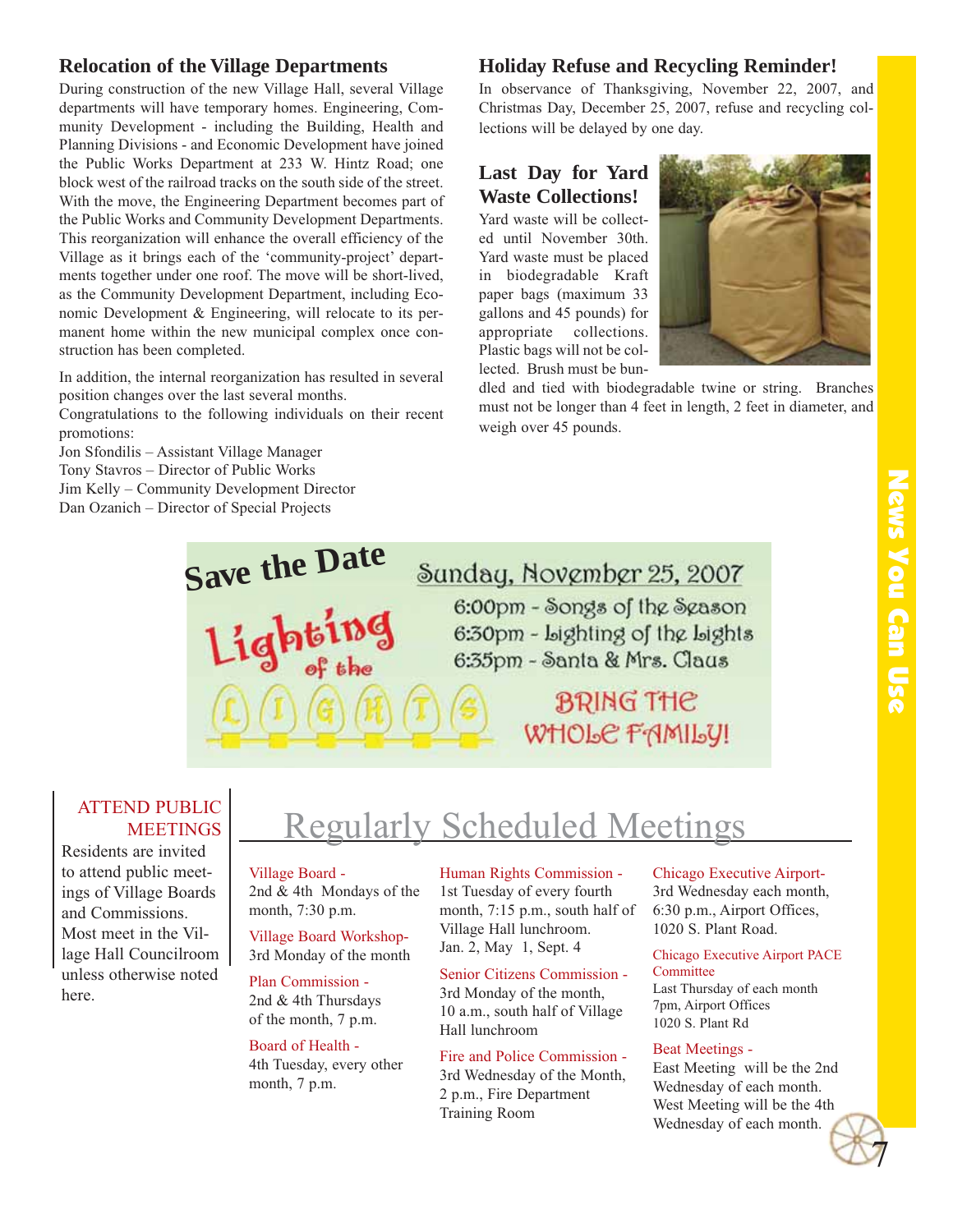## News You Can Use News You Can Use

#### **Relocation of the Village Departments**

During construction of the new Village Hall, several Village departments will have temporary homes. Engineering, Community Development - including the Building, Health and Planning Divisions - and Economic Development have joined the Public Works Department at 233 W. Hintz Road; one block west of the railroad tracks on the south side of the street. With the move, the Engineering Department becomes part of the Public Works and Community Development Departments. This reorganization will enhance the overall efficiency of the Village as it brings each of the 'community-project' departments together under one roof. The move will be short-lived, as the Community Development Department, including Economic Development & Engineering, will relocate to its permanent home within the new municipal complex once construction has been completed.

In addition, the internal reorganization has resulted in several position changes over the last several months.

Congratulations to the following individuals on their recent promotions:

Jon Sfondilis – Assistant Village Manager Tony Stavros – Director of Public Works Jim Kelly – Community Development Director Dan Ozanich – Director of Special Projects

#### **Holiday Refuse and Recycling Reminder!**

In observance of Thanksgiving, November 22, 2007, and Christmas Day, December 25, 2007, refuse and recycling collections will be delayed by one day.

#### **Last Day for Yard Waste Collections!**

Yard waste will be collected until November 30th. Yard waste must be placed in biodegradable Kraft paper bags (maximum 33 gallons and 45 pounds) for appropriate collections. Plastic bags will not be collected. Brush must be bun-



dled and tied with biodegradable twine or string. Branches must not be longer than 4 feet in length, 2 feet in diameter, and weigh over 45 pounds.

## Sunday, November 25, 2007

6:00pm - Songs of the Season 6:30pm - Lighting of the Lights 6:35pm - Santa & Mrs. Claus

> **BRING THE** WHOLE FAMILY!

#### ATTEND PUBLIC **MEETINGS**

Residents are invited to attend public meetings of Village Boards and Commissions. Most meet in the Village Hall Councilroom unless otherwise noted here.

### Regularly Scheduled Meetings

#### Village Board -

**Save the Date**

2nd & 4th Mondays of the

month, 7:30 p.m. Village Board Workshop-3rd Monday of the month

Plan Commission -

2nd & 4th Thursdays of the month, 7 p.m.

Board of Health - 4th Tuesday, every other month, 7 p.m.

Human Rights Commission - 1st Tuesday of every fourth month, 7:15 p.m., south half of Village Hall lunchroom. Jan. 2, May 1, Sept. 4

Senior Citizens Commission - 3rd Monday of the month, 10 a.m., south half of Village Hall lunchroom

Fire and Police Commission - 3rd Wednesday of the Month, 2 p.m., Fire Department Training Room

Chicago Executive Airport-3rd Wednesday each month, 6:30 p.m., Airport Offices,

1020 S. Plant Road. Chicago Executive Airport PACE

**Committee** Last Thursday of each month 7pm, Airport Offices 1020 S. Plant Rd

#### Beat Meetings -

East Meeting will be the 2nd Wednesday of each month. West Meeting will be the 4th Wednesday of each month.